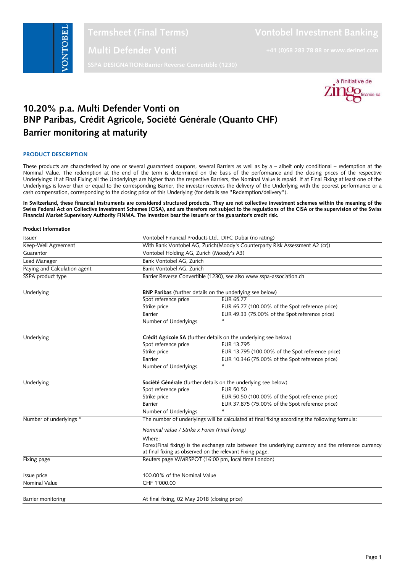

**Multi Defender Vonti +41 (0)58 283 78 88 or www.derinet.com**



# **10.20% p.a. Multi Defender Vonti on BNP Paribas, Crédit Agricole, Société Générale (Quanto CHF) Barrier monitoring at maturity**

# **PRODUCT DESCRIPTION**

These products are characterised by one or several guaranteed coupons, several Barriers as well as by a - albeit only conditional - redemption at the Nominal Value. The redemption at the end of the term is determined on the basis of the performance and the closing prices of the respective Underlyings: If at Final Fixing all the Underlyings are higher than the respective Barriers, the Nominal Value is repaid. If at Final Fixing at least one of the Underlyings is lower than or equal to the corresponding Barrier, the investor receives the delivery of the Underlying with the poorest performance or a cash compensation, corresponding to the closing price of this Underlying (for details see "Redemption/delivery").

**In Switzerland, these financial instruments are considered structured products. They are not collective investment schemes within the meaning of the Swiss Federal Act on Collective Investment Schemes (CISA), and are therefore not subject to the regulations of the CISA or the supervision of the Swiss Financial Market Supervisory Authority FINMA. The investors bear the issuer's or the guarantor's credit risk.**

#### **Product Information**

| Issuer                       | Vontobel Financial Products Ltd., DIFC Dubai (no rating)                                            |                                                                  |  |
|------------------------------|-----------------------------------------------------------------------------------------------------|------------------------------------------------------------------|--|
| Keep-Well Agreement          | With Bank Vontobel AG, Zurich(Moody's Counterparty Risk Assessment A2 (cr))                         |                                                                  |  |
| Guarantor                    | Vontobel Holding AG, Zurich (Moody's A3)                                                            |                                                                  |  |
| Lead Manager                 | Bank Vontobel AG, Zurich                                                                            |                                                                  |  |
| Paying and Calculation agent | Bank Vontobel AG, Zurich                                                                            |                                                                  |  |
| SSPA product type            | Barrier Reverse Convertible (1230), see also www.sspa-association.ch                                |                                                                  |  |
| Underlying                   | BNP Paribas (further details on the underlying see below)                                           |                                                                  |  |
|                              | Spot reference price                                                                                | EUR 65.77                                                        |  |
|                              | Strike price                                                                                        | EUR 65.77 (100.00% of the Spot reference price)                  |  |
|                              | <b>Barrier</b>                                                                                      | EUR 49.33 (75.00% of the Spot reference price)                   |  |
|                              | Number of Underlyings                                                                               |                                                                  |  |
| Underlying                   |                                                                                                     | Crédit Agricole SA (further details on the underlying see below) |  |
|                              | Spot reference price                                                                                | EUR 13.795                                                       |  |
|                              | Strike price                                                                                        | EUR 13.795 (100.00% of the Spot reference price)                 |  |
|                              | <b>Barrier</b>                                                                                      | EUR 10.346 (75.00% of the Spot reference price)                  |  |
|                              | Number of Underlyings                                                                               | $\star$                                                          |  |
| Underlying                   | Société Générale (further details on the underlying see below)                                      |                                                                  |  |
|                              | Spot reference price                                                                                | <b>EUR 50.50</b>                                                 |  |
|                              | Strike price                                                                                        | EUR 50.50 (100.00% of the Spot reference price)                  |  |
|                              | <b>Barrier</b>                                                                                      | EUR 37.875 (75.00% of the Spot reference price)                  |  |
|                              | Number of Underlyings                                                                               | $\ast$                                                           |  |
| Number of underlyings *      | The number of underlyings will be calculated at final fixing according the following formula:       |                                                                  |  |
|                              | Nominal value / Strike x Forex (Final fixing)                                                       |                                                                  |  |
|                              | Where:                                                                                              |                                                                  |  |
|                              | Forex(Final fixing) is the exchange rate between the underlying currency and the reference currency |                                                                  |  |
|                              | at final fixing as observed on the relevant Fixing page.                                            |                                                                  |  |
| Fixing page                  |                                                                                                     | Reuters page WMRSPOT (16:00 pm, local time London)               |  |
| Issue price                  | 100.00% of the Nominal Value                                                                        |                                                                  |  |
| Nominal Value                | CHF 1'000.00                                                                                        |                                                                  |  |
|                              |                                                                                                     |                                                                  |  |
| Barrier monitoring           | At final fixing, 02 May 2018 (closing price)                                                        |                                                                  |  |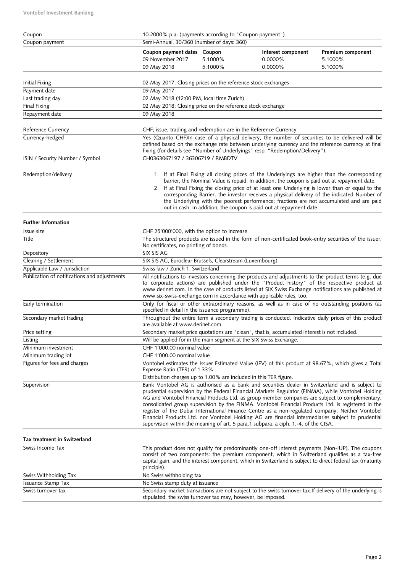**Vontobel Investment Banking**

| Coupon                                       | 10.2000% p.a. (payments according to "Coupon payment")                                             |         |                                                                                                                                                                                                                                                                                                                                                                                                                                                                                                                                                                                                                                                                                                               |                              |  |
|----------------------------------------------|----------------------------------------------------------------------------------------------------|---------|---------------------------------------------------------------------------------------------------------------------------------------------------------------------------------------------------------------------------------------------------------------------------------------------------------------------------------------------------------------------------------------------------------------------------------------------------------------------------------------------------------------------------------------------------------------------------------------------------------------------------------------------------------------------------------------------------------------|------------------------------|--|
| Coupon payment                               | Semi-Annual, 30/360 (number of days: 360)                                                          |         |                                                                                                                                                                                                                                                                                                                                                                                                                                                                                                                                                                                                                                                                                                               |                              |  |
|                                              | Coupon payment dates Coupon<br>09 November 2017                                                    | 5.1000% | Interest component<br>0.0000%                                                                                                                                                                                                                                                                                                                                                                                                                                                                                                                                                                                                                                                                                 | Premium component<br>5.1000% |  |
|                                              | 09 May 2018                                                                                        | 5.1000% | 0.0000%                                                                                                                                                                                                                                                                                                                                                                                                                                                                                                                                                                                                                                                                                                       | 5.1000%                      |  |
|                                              |                                                                                                    |         |                                                                                                                                                                                                                                                                                                                                                                                                                                                                                                                                                                                                                                                                                                               |                              |  |
| Initial Fixing<br>Payment date               | 02 May 2017; Closing prices on the reference stock exchanges<br>09 May 2017                        |         |                                                                                                                                                                                                                                                                                                                                                                                                                                                                                                                                                                                                                                                                                                               |                              |  |
| Last trading day                             | 02 May 2018 (12:00 PM, local time Zurich)                                                          |         |                                                                                                                                                                                                                                                                                                                                                                                                                                                                                                                                                                                                                                                                                                               |                              |  |
| <b>Final Fixing</b>                          | 02 May 2018; Closing price on the reference stock exchange                                         |         |                                                                                                                                                                                                                                                                                                                                                                                                                                                                                                                                                                                                                                                                                                               |                              |  |
| Repayment date                               | 09 May 2018                                                                                        |         |                                                                                                                                                                                                                                                                                                                                                                                                                                                                                                                                                                                                                                                                                                               |                              |  |
|                                              |                                                                                                    |         |                                                                                                                                                                                                                                                                                                                                                                                                                                                                                                                                                                                                                                                                                                               |                              |  |
| Reference Currency                           | CHF; issue, trading and redemption are in the Reference Currency                                   |         |                                                                                                                                                                                                                                                                                                                                                                                                                                                                                                                                                                                                                                                                                                               |                              |  |
| Currency-hedged                              |                                                                                                    |         | Yes (Quanto CHF)In case of a physical delivery, the number of securities to be delivered will be<br>defined based on the exchange rate between underlying currency and the reference currency at final<br>fixing (for details see "Number of Underlyings" resp. "Redemption/Delivery").                                                                                                                                                                                                                                                                                                                                                                                                                       |                              |  |
| ISIN / Security Number / Symbol              | CH0363067197 / 36306719 / RMBDTV                                                                   |         |                                                                                                                                                                                                                                                                                                                                                                                                                                                                                                                                                                                                                                                                                                               |                              |  |
| Redemption/delivery                          |                                                                                                    |         | 1. If at Final Fixing all closing prices of the Underlyings are higher than the corresponding<br>barrier, the Nominal Value is repaid. In addition, the coupon is paid out at repayment date.<br>2. If at Final Fixing the closing price of at least one Underlying is lower than or equal to the<br>corresponding Barrier, the investor receives a physical delivery of the indicated Number of<br>the Underlying with the poorest performance; fractions are not accumulated and are paid<br>out in cash. In addition, the coupon is paid out at repayment date.                                                                                                                                            |                              |  |
| <b>Further Information</b>                   |                                                                                                    |         |                                                                                                                                                                                                                                                                                                                                                                                                                                                                                                                                                                                                                                                                                                               |                              |  |
| Issue size                                   | CHF 25'000'000, with the option to increase                                                        |         |                                                                                                                                                                                                                                                                                                                                                                                                                                                                                                                                                                                                                                                                                                               |                              |  |
| Title                                        | No certificates, no printing of bonds.                                                             |         | The structured products are issued in the form of non-certificated book-entry securities of the issuer.                                                                                                                                                                                                                                                                                                                                                                                                                                                                                                                                                                                                       |                              |  |
| Depository                                   | SIX SIS AG                                                                                         |         |                                                                                                                                                                                                                                                                                                                                                                                                                                                                                                                                                                                                                                                                                                               |                              |  |
| Clearing / Settlement                        | SIX SIS AG, Euroclear Brussels, Clearstream (Luxembourg)                                           |         |                                                                                                                                                                                                                                                                                                                                                                                                                                                                                                                                                                                                                                                                                                               |                              |  |
| Applicable Law / Jurisdiction                | Swiss law / Zurich 1, Switzerland                                                                  |         |                                                                                                                                                                                                                                                                                                                                                                                                                                                                                                                                                                                                                                                                                                               |                              |  |
| Publication of notifications and adjustments |                                                                                                    |         | All notifications to investors concerning the products and adjustments to the product terms (e.g. due<br>to corporate actions) are published under the "Product history" of the respective product at<br>www.derinet.com. In the case of products listed at SIX Swiss Exchange notifications are published at<br>www.six-swiss-exchange.com in accordance with applicable rules, too.                                                                                                                                                                                                                                                                                                                         |                              |  |
| Early termination                            | specified in detail in the issuance programme).                                                    |         | Only for fiscal or other extraordinary reasons, as well as in case of no outstanding positions (as                                                                                                                                                                                                                                                                                                                                                                                                                                                                                                                                                                                                            |                              |  |
| Secondary market trading                     | are available at www.derinet.com.                                                                  |         | Throughout the entire term a secondary trading is conducted. Indicative daily prices of this product                                                                                                                                                                                                                                                                                                                                                                                                                                                                                                                                                                                                          |                              |  |
| Price setting                                |                                                                                                    |         | Secondary market price quotations are "clean", that is, accumulated interest is not included.                                                                                                                                                                                                                                                                                                                                                                                                                                                                                                                                                                                                                 |                              |  |
| Listing                                      | Will be applied for in the main segment at the SIX Swiss Exchange.                                 |         |                                                                                                                                                                                                                                                                                                                                                                                                                                                                                                                                                                                                                                                                                                               |                              |  |
| Minimum investment                           | CHF 1'000.00 nominal value                                                                         |         |                                                                                                                                                                                                                                                                                                                                                                                                                                                                                                                                                                                                                                                                                                               |                              |  |
| Minimum trading lot                          | CHF 1'000.00 nominal value                                                                         |         |                                                                                                                                                                                                                                                                                                                                                                                                                                                                                                                                                                                                                                                                                                               |                              |  |
| Figures for fees and charges                 | Expense Ratio (TER) of 1.33%.<br>Distribution charges up to 1.00% are included in this TER figure. |         | Vontobel estimates the Issuer Estimated Value (IEV) of this product at 98.67%, which gives a Total                                                                                                                                                                                                                                                                                                                                                                                                                                                                                                                                                                                                            |                              |  |
| Supervision                                  |                                                                                                    |         | Bank Vontobel AG is authorised as a bank and securities dealer in Switzerland and is subject to<br>prudential supervision by the Federal Financial Markets Regulator (FINMA), while Vontobel Holding<br>AG and Vontobel Financial Products Ltd. as group member companies are subject to complementary,<br>consolidated group supervision by the FINMA. Vontobel Financial Products Ltd. is registered in the<br>register of the Dubai International Finance Centre as a non-regulated company. Neither Vontobel<br>Financial Products Ltd. nor Vontobel Holding AG are financial intermediaries subject to prudential<br>supervision within the meaning of art. 5 para.1 subpara. a ciph. 1.-4. of the CISA. |                              |  |
| Tax treatment in Switzerland                 |                                                                                                    |         |                                                                                                                                                                                                                                                                                                                                                                                                                                                                                                                                                                                                                                                                                                               |                              |  |
| Swiss Income Tax                             | principle).                                                                                        |         | This product does not qualify for predominantly one-off interest payments (Non-IUP). The coupons<br>consist of two components: the premium component, which in Switzerland qualifies as a tax-free<br>capital gain, and the interest component, which in Switzerland is subject to direct federal tax (maturity                                                                                                                                                                                                                                                                                                                                                                                               |                              |  |
| Swiss Withholding Tax                        | No Swiss withholding tax                                                                           |         |                                                                                                                                                                                                                                                                                                                                                                                                                                                                                                                                                                                                                                                                                                               |                              |  |
| Issuance Stamp Tax                           | No Swiss stamp duty at issuance                                                                    |         |                                                                                                                                                                                                                                                                                                                                                                                                                                                                                                                                                                                                                                                                                                               |                              |  |
| Swiss turnover tax                           | stipulated, the swiss turnover tax may, however, be imposed.                                       |         | Secondary market transactions are not subject to the swiss turnover tax. If delivery of the underlying is                                                                                                                                                                                                                                                                                                                                                                                                                                                                                                                                                                                                     |                              |  |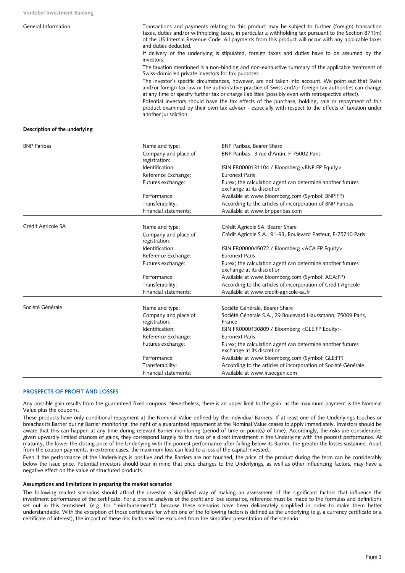| Transactions and payments relating to this product may be subject to further (foreign) transaction<br>taxes, duties and/or withholding taxes, in particular a withholding tax pursuant to the Section 871(m)<br>of the US Internal Revenue Code. All payments from this product will occur with any applicable taxes<br>and duties deducted. |
|----------------------------------------------------------------------------------------------------------------------------------------------------------------------------------------------------------------------------------------------------------------------------------------------------------------------------------------------|
| If delivery of the underlying is stipulated, foreign taxes and duties have to be assumed by the<br>investors.                                                                                                                                                                                                                                |
| The taxation mentioned is a non-binding and non-exhaustive summary of the applicable treatment of<br>Swiss-domiciled private investors for tax purposes.                                                                                                                                                                                     |
| The investor's specific circumstances, however, are not taken into account. We point out that Swiss<br>and/or foreign tax law or the authoritative practice of Swiss and/or foreign tax authorities can change<br>at any time or specify further tax or charge liabilities (possibly even with retrospective effect).                        |
| Potential investors should have the tax effects of the purchase, holding, sale or repayment of this<br>product examined by their own tax adviser - especially with respect to the effects of taxation under<br>another jurisdiction.                                                                                                         |
|                                                                                                                                                                                                                                                                                                                                              |

### **Description of the underlying**

| <b>BNP Paribas</b> | Name and type:                        | <b>BNP Paribas, Bearer Share</b>                                                         |
|--------------------|---------------------------------------|------------------------------------------------------------------------------------------|
|                    | Company and place of<br>registration: | BNP Paribas, 3 rue d'Antin, F-75002 Paris                                                |
|                    | Identification:                       | ISIN FR0000131104 / Bloomberg <bnp equity="" fp=""></bnp>                                |
|                    | Reference Exchange:                   | <b>Euronext Paris</b>                                                                    |
|                    | Futures exchange:                     | Eurex; the calculation agent can determine another futures<br>exchange at its discretion |
|                    | Performance:                          | Available at www.bloomberg.com (Symbol: BNP:FP)                                          |
|                    | Transferability:                      | According to the articles of incorporation of BNP Paribas                                |
|                    | Financial statements:                 | Available at www.bnpparibas.com                                                          |
| Crédit Agricole SA | Name and type:                        | Crédit Agricole SA, Bearer Share                                                         |
|                    | Company and place of<br>registration: | Crédit Agricole S.A., 91-93, Boulevard Pasteur, F-75710 Paris                            |
|                    | Identification:                       | ISIN FR0000045072 / Bloomberg <aca equity="" fp=""></aca>                                |
|                    | Reference Exchange:                   | <b>Euronext Paris</b>                                                                    |
|                    | Futures exchange:                     | Eurex; the calculation agent can determine another futures<br>exchange at its discretion |
|                    | Performance:                          | Available at www.bloomberg.com (Symbol: ACA:FP)                                          |
|                    | Transferability:                      | According to the articles of incorporation of Crédit Agricole                            |
|                    | Financial statements:                 | Available at www.credit-agricole-sa.fr                                                   |
| Société Générale   | Name and type:                        | Société Générale, Bearer Share                                                           |
|                    | Company and place of<br>registration: | Société Générale S.A., 29 Boulevard Haussmann, 75009 Paris,<br>France                    |
|                    | Identification:                       | ISIN FR0000130809 / Bloomberg <gle equity="" fp=""></gle>                                |
|                    | Reference Exchange:                   | <b>Euronext Paris</b>                                                                    |
|                    | Futures exchange:                     | Eurex; the calculation agent can determine another futures<br>exchange at its discretion |
|                    | Performance:                          | Available at www.bloomberg.com (Symbol: GLE:FP)                                          |
|                    | Transferability:                      | According to the articles of incorporation of Société Générale                           |
|                    | Financial statements:                 | Available at www.ir.socgen.com                                                           |

# **PROSPECTS OF PROFIT AND LOSSES**

Any possible gain results from the guaranteed fixed coupons. Nevertheless, there is an upper limit to the gain, as the maximum payment is the Nominal Value plus the coupons.

These products have only conditional repayment at the Nominal Value defined by the individual Barriers: If at least one of the Underlyings touches or breaches its Barrier during Barrier monitoring, the right of a guaranteed repayment at the Nominal Value ceases to apply immediately. Investors should be aware that this can happen at any time during relevant Barrier monitoring (period of time or point(s) of time). Accordingly, the risks are considerable; given upwardly limited chances of gains, they correspond largely to the risks of a direct investment in the Underlying with the poorest performance. At maturity, the lower the closing price of the Underlying with the poorest performance after falling below its Barrier, the greater the losses sustained. Apart from the coupon payments, in extreme cases, the maximum loss can lead to a loss of the capital invested.

Even if the performance of the Underlyings is positive and the Barriers are not touched, the price of the product during the term can be considerably below the Issue price. Potential investors should bear in mind that price changes to the Underlyings, as well as other influencing factors, may have a negative effect on the value of structured products.

# **Assumptions and limitations in preparing the market scenarios**

The following market scenarios should afford the investor a simplified way of making an assessment of the significant factors that influence the investment performance of the certificate. For a precise analysis of the profit and loss scenarios, reference must be made to the formulas and definitions set out in this termsheet, (e.g. for "reimbursement"), because these scenarios have been deliberately simplified in order to make them better understandable. With the exception of those certificates for which one of the following factors is defined as the underlying (e.g. a currency certificate or a certificate of interest), the impact of these risk factors will be excluded from the simplified presentation of the scenario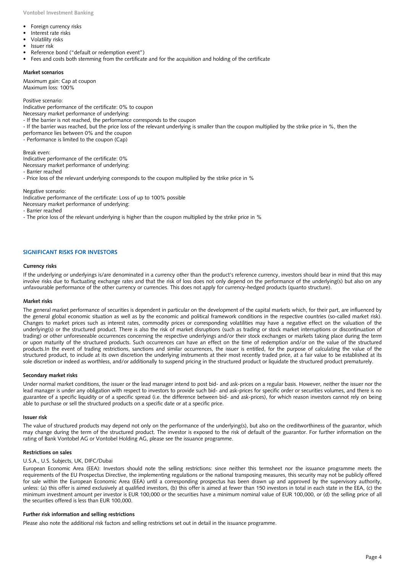- Foreign currency risks
- Interest rate risks
- Volatility risks
- Issuer risk
- Reference bond ("default or redemption event")
- Fees and costs both stemming from the certificate and for the acquisition and holding of the certificate

#### **Market scenarios**

Maximum gain: Cap at coupon Maximum loss: 100%

Positive scenario:

Indicative performance of the certificate: 0% to coupon

Necessary market performance of underlying:

- If the barrier is not reached, the performance corresponds to the coupon
- If the barrier was reached, but the price loss of the relevant underlying is smaller than the coupon multiplied by the strike price in %, then the

performance lies between 0% and the coupon

- Performance is limited to the coupon (Cap)

Break even:

Indicative performance of the certificate: 0%

Necessary market performance of underlying:

- Barrier reached

- Price loss of the relevant underlying corresponds to the coupon multiplied by the strike price in %

Negative scenario:

Indicative performance of the certificate: Loss of up to 100% possible Necessary market performance of underlying:

- Barrier reached

- The price loss of the relevant underlying is higher than the coupon multiplied by the strike price in %

# **SIGNIFICANT RISKS FOR INVESTORS**

#### **Currency risks**

If the underlying or underlyings is/are denominated in a currency other than the product's reference currency, investors should bear in mind that this may involve risks due to fluctuating exchange rates and that the risk of loss does not only depend on the performance of the underlying(s) but also on any unfavourable performance of the other currency or currencies. This does not apply for currency-hedged products (quanto structure).

#### **Market risks**

The general market performance of securities is dependent in particular on the development of the capital markets which, for their part, are influenced by the general global economic situation as well as by the economic and political framework conditions in the respective countries (so-called market risk). Changes to market prices such as interest rates, commodity prices or corresponding volatilities may have a negative effect on the valuation of the underlying(s) or the structured product. There is also the risk of market disruptions (such as trading or stock market interruptions or discontinuation of trading) or other unforeseeable occurrences concerning the respective underlyings and/or their stock exchanges or markets taking place during the term or upon maturity of the structured products. Such occurrences can have an effect on the time of redemption and/or on the value of the structured products.In the event of trading restrictions, sanctions and similar occurrences, the issuer is entitled, for the purpose of calculating the value of the structured product, to include at its own discretion the underlying instruments at their most recently traded price, at a fair value to be established at its sole discretion or indeed as worthless, and/or additionally to suspend pricing in the structured product or liquidate the structured product prematurely.

#### **Secondary market risks**

Under normal market conditions, the issuer or the lead manager intend to post bid- and ask-prices on a regular basis. However, neither the issuer nor the lead manager is under any obligation with respect to investors to provide such bid- and ask-prices for specific order or securities volumes, and there is no guarantee of a specific liquidity or of a specific spread (i.e. the difference between bid- and ask-prices), for which reason investors cannot rely on being able to purchase or sell the structured products on a specific date or at a specific price.

#### **Issuer risk**

The value of structured products may depend not only on the performance of the underlying(s), but also on the creditworthiness of the guarantor, which may change during the term of the structured product. The investor is exposed to the risk of default of the guarantor. For further information on the rating of Bank Vontobel AG or Vontobel Holding AG, please see the issuance programme.

#### **Restrictions on sales**

#### U.S.A., U.S. Subjects, UK, DIFC/Dubai

European Economic Area (EEA): Investors should note the selling restrictions: since neither this termsheet nor the issuance programme meets the requirements of the EU Prospectus Directive, the implementing regulations or the national transposing measures, this security may not be publicly offered for sale within the European Economic Area (EEA) until a corresponding prospectus has been drawn up and approved by the supervisory authority, unless: (a) this offer is aimed exclusively at qualified investors, (b) this offer is aimed at fewer than 150 investors in total in each state in the EEA, (c) the minimum investment amount per investor is EUR 100,000 or the securities have a minimum nominal value of EUR 100,000, or (d) the selling price of all the securities offered is less than EUR 100,000.

#### **Further risk information and selling restrictions**

Please also note the additional risk factors and selling restrictions set out in detail in the issuance programme.